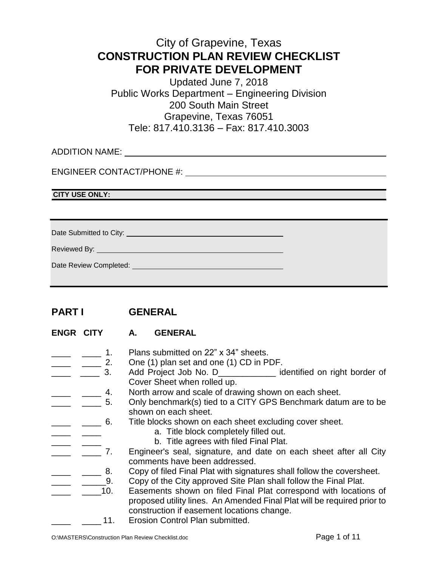# City of Grapevine, Texas **CONSTRUCTION PLAN REVIEW CHECKLIST FOR PRIVATE DEVELOPMENT**

Updated June 7, 2018 Public Works Department – Engineering Division 200 South Main Street Grapevine, Texas 76051 Tele: 817.410.3136 – Fax: 817.410.3003

ADDITION NAME:

ENGINEER CONTACT/PHONE #:

**CITY USE ONLY:**

Date Submitted to City: University of the Submitted to City:

Reviewed By: **William Street By:** 

| Date Review Completed: |  |
|------------------------|--|

## **PART I GENERAL**

- **ENGR CITY A. GENERAL**
- $\frac{1}{2}$   $\frac{1}{2}$  1. Plans submitted on 22" x 34" sheets.
- $\frac{1}{\sqrt{1-\frac{1}{\sqrt{1-\frac{1}{\sqrt{1-\frac{1}{\sqrt{1-\frac{1}{\sqrt{1-\frac{1}{\sqrt{1-\frac{1}{\sqrt{1-\frac{1}{\sqrt{1-\frac{1}{\sqrt{1-\frac{1}{\sqrt{1-\frac{1}{\sqrt{1-\frac{1}{\sqrt{1-\frac{1}{\sqrt{1-\frac{1}{\sqrt{1-\frac{1}{\sqrt{1-\frac{1}{\sqrt{1-\frac{1}{\sqrt{1-\frac{1}{\sqrt{1-\frac{1}{\sqrt{1-\frac{1}{\sqrt{1-\frac{1}{\sqrt{1-\frac{1}{\sqrt{1-\frac{1}{\sqrt{1-\frac{1}{\sqrt{1-\frac{1$
- **All 2018** 2. Add Project Job No. D\_\_\_\_\_\_\_\_\_\_\_\_ identified on right border of Cover Sheet when rolled up.
- **Fig. 2.** 2. North arrow and scale of drawing shown on each sheet.
- **\_\_\_\_** \_\_\_\_ 5. Only benchmark(s) tied to a CITY GPS Benchmark datum are to be shown on each sheet.
- **\_\_\_\_** \_\_\_\_ 6. Title blocks shown on each sheet excluding cover sheet.
	- a. Title block completely filled out.
	-
- \_\_\_\_ \_\_\_\_\_ \_\_\_\_ b. Title agrees with filed Final Plat.<br>\_\_\_\_ \_\_\_\_\_ 7. Engineer's seal, signature, and date on Engineer's seal, signature, and date on each sheet after all City comments have been addressed.
- **\_\_\_\_** \_\_\_\_\_ 8. Copy of filed Final Plat with signatures shall follow the coversheet.
- **EXECUTE:** 2. Copy of the City approved Site Plan shall follow the Final Plat.
- **Easements shown on filed Final Plat correspond with locations of** proposed utility lines. An Amended Final Plat will be required prior to construction if easement locations change.
	- 11. Erosion Control Plan submitted.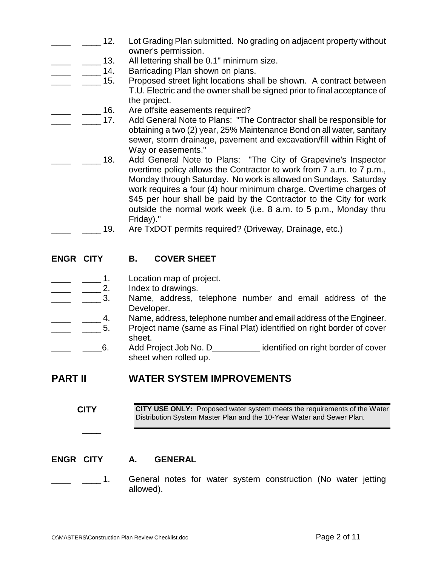- **\_\_\_\_ 12.** Lot Grading Plan submitted. No grading on adjacent property without owner's permission.
- \_13. All lettering shall be 0.1" minimum size.
- **\_\_\_\_ \_\_\_\_\_ 14.** Barricading Plan shown on plans.
	- **\_\_\_\_\_ 15.** Proposed street light locations shall be shown. A contract between T.U. Electric and the owner shall be signed prior to final acceptance of the project.
		- 16. Are offsite easements required?
			- **\_\_\_\_\_ 17.** Add General Note to Plans: "The Contractor shall be responsible for obtaining a two (2) year, 25% Maintenance Bond on all water, sanitary sewer, storm drainage, pavement and excavation/fill within Right of Way or easements."
- **18.** Add General Note to Plans: "The City of Grapevine's Inspector overtime policy allows the Contractor to work from 7 a.m. to 7 p.m., Monday through Saturday. No work is allowed on Sundays. Saturday work requires a four (4) hour minimum charge. Overtime charges of \$45 per hour shall be paid by the Contractor to the City for work outside the normal work week (i.e. 8 a.m. to 5 p.m., Monday thru Friday)."
	- \_\_\_\_ \_\_\_\_ 19. Are TxDOT permits required? (Driveway, Drainage, etc.)

#### **ENGR CITY B. COVER SHEET**

- \_\_\_\_ \_\_\_\_ 1. Location map of project.
- $\frac{1}{2}$   $\frac{1}{2}$  2. Index to drawings.
- \_\_\_\_ \_\_\_\_ 3. Name, address, telephone number and email address of the Developer.
- \_\_\_\_ \_\_\_\_ 4. Name, address, telephone number and email address of the Engineer.
- **1** 10. Project name (same as Final Plat) identified on right border of cover sheet.
- <sup>1</sup> \_\_\_\_\_\_\_6. Add Project Job No. D<sub>\_\_\_\_\_\_\_\_\_\_\_\_\_\_\_ identified on right border of cover</sub> sheet when rolled up.

## **PART II WATER SYSTEM IMPROVEMENTS**

**CITY CITY USE ONLY:** Proposed water system meets the requirements of the Water Distribution System Master Plan and the 10-Year Water and Sewer Plan.

#### **ENGR CITY A. GENERAL**

 $\overline{\phantom{a}}$ 

**1.** General notes for water system construction (No water jetting allowed).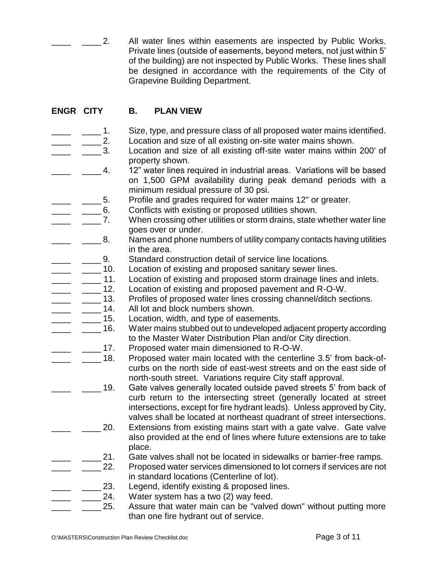2. All water lines within easements are inspected by Public Works. Private lines (outside of easements, beyond meters, not just within 5' of the building) are not inspected by Public Works. These lines shall be designed in accordance with the requirements of the City of Grapevine Building Department.

### **ENGR CITY B. PLAN VIEW**

- 1. Size, type, and pressure class of all proposed water mains identified. 2. Location and size of all existing on-site water mains shown.
	- 3. Location and size of all existing off-site water mains within 200' of property shown.
	- 4. 12" water lines required in industrial areas. Variations will be based on 1,500 GPM availability during peak demand periods with a minimum residual pressure of 30 psi.
- 5. Profile and grades required for water mains 12" or greater.
- \_\_\_\_ \_\_\_\_ 6. Conflicts with existing or proposed utilities shown.
	- \_\_\_\_ \_\_\_\_ 7. When crossing other utilities or storm drains, state whether water line goes over or under.
- **\_\_\_\_ 8.** Names and phone numbers of utility company contacts having utilities in the area.
	- \_\_\_\_ \_\_\_\_ 9. Standard construction detail of service line locations.
	- **\_\_\_\_ 10.** Location of existing and proposed sanitary sewer lines.
- **\_\_\_\_** \_\_\_\_ 11. Location of existing and proposed storm drainage lines and inlets.
	-
- \_\_\_\_ \_\_\_\_\_ 12. Location of existing and proposed pavement and R-O-W.<br>\_\_\_\_ \_\_\_\_\_ 13. Profiles of proposed water lines crossing channel/ditch se \_ \_\_\_\_ 13. Profiles of proposed water lines crossing channel/ditch sections.<br>\_ \_\_\_\_ 14. All lot and block numbers shown.
	- All lot and block numbers shown.
	- 15. Location, width, and type of easements.
		- \_\_\_\_ 16. Water mains stubbed out to undeveloped adjacent property according to the Master Water Distribution Plan and/or City direction.
			- \_17. Proposed water main dimensioned to R-O-W.
		- 18. Proposed water main located with the centerline 3.5' from back-ofcurbs on the north side of east-west streets and on the east side of north-south street. Variations require City staff approval.
		- \_\_\_\_ \_\_\_\_ 19. Gate valves generally located outside paved streets 5' from back of curb return to the intersecting street (generally located at street intersections, except for fire hydrant leads). Unless approved by City, valves shall be located at northeast quadrant of street intersections.
			- 20. Extensions from existing mains start with a gate valve. Gate valve also provided at the end of lines where future extensions are to take place.
		- 21. Gate valves shall not be located in sidewalks or barrier-free ramps.
			- \_\_\_\_ \_\_\_\_ 22. Proposed water services dimensioned to lot corners if services are not in standard locations (Centerline of lot).
		- 23. Legend, identify existing & proposed lines.
			- 24. Water system has a two (2) way feed.
				- 25. Assure that water main can be "valved down" without putting more than one fire hydrant out of service.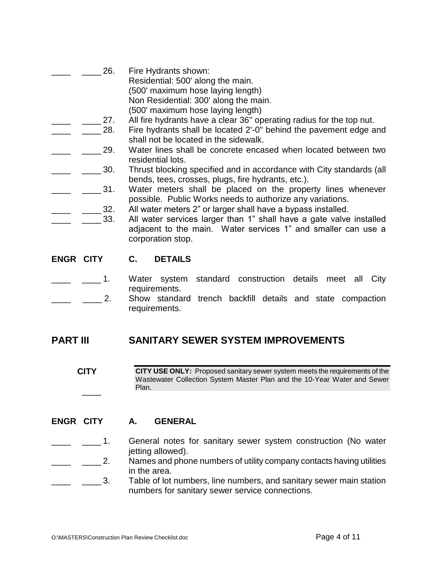- 26. Fire Hydrants shown: Residential: 500' along the main. (500' maximum hose laying length) Non Residential: 300' along the main. (500' maximum hose laying length)
	- 27. All fire hydrants have a clear 36" operating radius for the top nut.
		- 28. Fire hydrants shall be located 2'-0" behind the pavement edge and shall not be located in the sidewalk.
	- \_\_\_\_ \_\_\_\_ 29. Water lines shall be concrete encased when located between two residential lots.
	- 30. Thrust blocking specified and in accordance with City standards (all bends, tees, crosses, plugs, fire hydrants, etc.).
	- \_\_\_\_ 31. Water meters shall be placed on the property lines whenever possible. Public Works needs to authorize any variations.
		- 32. All water meters 2" or larger shall have a bypass installed.
- 33. All water services larger than 1" shall have a gate valve installed adjacent to the main. Water services 1" and smaller can use a corporation stop.

#### **ENGR CITY C. DETAILS**

- 1. Water system standard construction details meet all City requirements.
- \_\_\_\_\_ 2. Show standard trench backfill details and state compaction requirements.

## **PART III SANITARY SEWER SYSTEM IMPROVEMENTS**

**CITY**  $\overline{\phantom{a}}$ **CITY USE ONLY:** Proposed sanitary sewer system meets the requirements of the Wastewater Collection System Master Plan and the 10-Year Water and Sewer Plan.

#### **ENGR CITY A. GENERAL**

- 1. General notes for sanitary sewer system construction (No water jetting allowed).
- **\_\_\_\_ 2.** Names and phone numbers of utility company contacts having utilities in the area.
- \_\_\_\_ \_\_\_\_ 3. Table of lot numbers, line numbers, and sanitary sewer main station numbers for sanitary sewer service connections.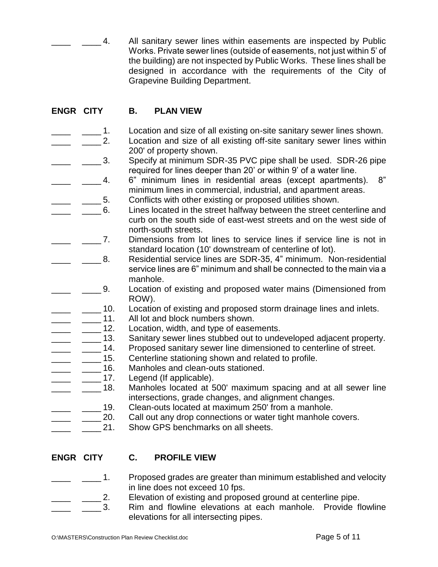4. All sanitary sewer lines within easements are inspected by Public Works. Private sewer lines (outside of easements, not just within 5' of the building) are not inspected by Public Works. These lines shall be designed in accordance with the requirements of the City of Grapevine Building Department.

## **ENGR CITY B. PLAN VIEW**

- \_\_\_\_ \_\_\_\_ 1. Location and size of all existing on-site sanitary sewer lines shown.
	- 2. Location and size of all existing off-site sanitary sewer lines within 200' of property shown.
- 1. Specify at minimum SDR-35 PVC pipe shall be used. SDR-26 pipe required for lines deeper than 20' or within 9' of a water line.
- \_\_\_\_ \_\_\_\_ 4. 6" minimum lines in residential areas (except apartments). 8" minimum lines in commercial, industrial, and apartment areas.
- 5. Conflicts with other existing or proposed utilities shown.
- 6. Lines located in the street halfway between the street centerline and curb on the south side of east-west streets and on the west side of north-south streets.
- \_\_\_\_ \_\_\_\_ 7. Dimensions from lot lines to service lines if service line is not in standard location (10' downstream of centerline of lot).
- \_\_\_\_ \_\_\_\_ 8. Residential service lines are SDR-35, 4" minimum. Non-residential service lines are 6" minimum and shall be connected to the main via a manhole.
	- \_\_\_\_ \_\_\_\_ 9. Location of existing and proposed water mains (Dimensioned from ROW).
- <sup>10</sup> \_\_\_\_\_ 10. Location of existing and proposed storm drainage lines and inlets.
- 
- \_\_\_\_ \_\_\_\_\_ 11. All lot and block numbers shown.<br>\_\_\_\_ \_\_\_\_\_ 12. Location, width, and type of easer Location, width, and type of easements.
- **\_\_\_\_** \_\_\_\_\_ 13. Sanitary sewer lines stubbed out to undeveloped adjacent property.
- \_\_\_\_ \_\_\_\_ 14. Proposed sanitary sewer line dimensioned to centerline of street.<br>\_\_\_\_ \_\_\_\_ 15. Centerline stationing shown and related to profile.
	- \_\_\_ \_\_\_\_\_ 15. Centerline stationing shown and related to profile.<br>\_\_ \_\_\_\_\_ 16. Manholes and clean-outs stationed.
	- \_\_\_ \_\_\_\_\_ 16. Manholes and clean-outs stationed.<br>\_\_ \_\_\_\_\_ 17. Legend (If applicable).
- Legend (If applicable).
	- $\mu$  18. Manholes located at 500' maximum spacing and at all sewer line intersections, grade changes, and alignment changes.
		- 19. Clean-outs located at maximum 250' from a manhole.
- 20. Call out any drop connections or water tight manhole covers.
	- 21. Show GPS benchmarks on all sheets.

#### **ENGR CITY C. PROFILE VIEW**

- 
- 1. Proposed grades are greater than minimum established and velocity in line does not exceed 10 fps.
	- 2. Elevation of existing and proposed ground at centerline pipe.
		- \_\_\_\_ \_\_\_\_ 3. Rim and flowline elevations at each manhole. Provide flowline elevations for all intersecting pipes.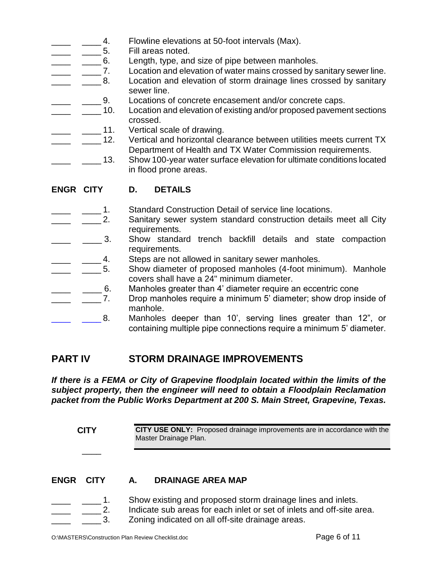- $\frac{1}{2}$   $\frac{4}{5}$  Flowline elevations at 50-foot intervals (Max).
- \_\_\_\_\_ \_\_\_\_\_\_ 5. Fill areas noted.
- \_\_\_\_ \_\_\_\_\_6. Length, type, and size of pipe between manholes.
- \_\_\_\_ \_\_\_\_\_ 7. Location and elevation of water mains crossed by sanitary sewer line.
	- <sub>1</sub> 100 Location and elevation of storm drainage lines crossed by sanitary sewer line.
- **\_\_\_\_** \_\_\_\_\_ 9. Locations of concrete encasement and/or concrete caps.
	- **\_\_\_\_ 10.** Location and elevation of existing and/or proposed pavement sections crossed.
- \_\_\_\_ \_\_\_\_\_ 11. Vertical scale of drawing.
	- \_\_\_\_ 12. Vertical and horizontal clearance between utilities meets current TX Department of Health and TX Water Commission requirements.
	- <sup>1</sup> \_\_\_\_\_ 13. Show 100-year water surface elevation for ultimate conditions located in flood prone areas.
- **ENGR CITY D. DETAILS**
	- <sub>\_\_\_\_\_</sub>\_\_\_\_\_ 1. Standard Construction Detail of service line locations.
- **\_\_\_\_** \_\_\_\_\_ 2. Sanitary sewer system standard construction details meet all City requirements.
- **\_\_\_\_** \_\_\_\_\_ 3. Show standard trench backfill details and state compaction requirements.
- 
- \_\_\_\_ \_\_\_\_ 4. Steps are not allowed in sanitary sewer manholes.<br>\_\_\_\_ \_\_\_\_\_ 5. Show diameter of proposed manholes (4-foot mini Show diameter of proposed manholes (4-foot minimum). Manhole covers shall have a 24" minimum diameter.
- **\_\_\_\_ \_\_\_\_\_6.** Manholes greater than 4' diameter require an eccentric cone
- **\_\_\_\_ \_\_\_\_\_ 7.** Drop manholes require a minimum 5' diameter; show drop inside of manhole.
- **LET LET 3.** Manholes deeper than 10', serving lines greater than 12", or containing multiple pipe connections require a minimum 5' diameter.

# **PART IV STORM DRAINAGE IMPROVEMENTS**

*If there is a FEMA or City of Grapevine floodplain located within the limits of the subject property, then the engineer will need to obtain a Floodplain Reclamation packet from the Public Works Department at 200 S. Main Street, Grapevine, Texas.*

| <b>CITY</b> |                     | <b>CITY USE ONLY:</b> Proposed drainage improvements are in accordance with the<br>Master Drainage Plan. |                                                                                                                                                                                          |  |
|-------------|---------------------|----------------------------------------------------------------------------------------------------------|------------------------------------------------------------------------------------------------------------------------------------------------------------------------------------------|--|
| <b>ENGR</b> | <b>CITY</b>         | А.                                                                                                       | <b>DRAINAGE AREA MAP</b>                                                                                                                                                                 |  |
|             | $\mathcal{P}$<br>3. |                                                                                                          | Show existing and proposed storm drainage lines and inlets.<br>Indicate sub areas for each inlet or set of inlets and off-site area.<br>Zoning indicated on all off-site drainage areas. |  |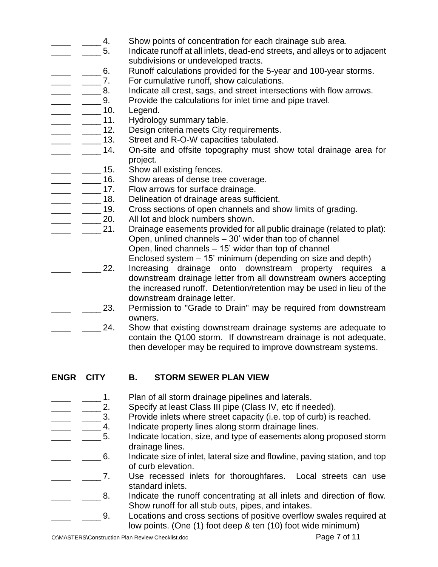- 1. Show points of concentration for each drainage sub area.
	- \_\_\_\_ \_\_\_\_ 5. Indicate runoff at all inlets, dead-end streets, and alleys or to adjacent subdivisions or undeveloped tracts.
- **\_\_\_\_** \_\_\_\_\_ 6. Runoff calculations provided for the 5-year and 100-year storms.
- \_\_\_\_ \_\_\_\_\_\_ 7. For cumulative runoff, show calculations.
- **\_\_\_\_** \_\_\_\_\_ 8. Indicate all crest, sags, and street intersections with flow arrows.
- **Fig.** 2. Provide the calculations for inlet time and pipe travel.
	-
- \_\_\_\_\_ \_\_\_\_\_ 10. Legend.<br>\_\_\_\_\_ \_\_\_\_\_ 11. Hydrolog Hydrology summary table.
- \_\_\_\_ \_\_\_\_ 12. Design criteria meets City requirements.<br>\_\_\_\_ \_\_\_\_ 13. Street and R-O-W capacities tabulated.
	-
	- \_\_\_\_\_\_\_\_ 13. Street and R-O-W capacities tabulated.<br>\_\_ \_\_\_\_\_ 14. On-site and offsite topography must sh On-site and offsite topography must show total drainage area for project.
- **\_\_\_\_** \_\_\_\_\_ 15. Show all existing fences.
	- $\frac{1}{2}$   $\frac{1}{2}$  16. Show areas of dense tree coverage.
- \_\_\_\_ \_\_\_\_\_ 17. Flow arrows for surface drainage.<br>\_\_\_\_ \_\_\_\_\_ 18. Delineation of drainage areas suff
	- Delineation of drainage areas sufficient.
- \_\_\_\_ \_\_\_\_ 19. Cross sections of open channels and show limits of grading.<br>\_\_\_\_ \_\_\_\_ 20. All lot and block numbers shown.
- All lot and block numbers shown.
	- \_\_\_\_ \_\_\_\_ 21. Drainage easements provided for all public drainage (related to plat): Open, unlined channels – 30' wider than top of channel Open, lined channels – 15' wider than top of channel Enclosed system – 15' minimum (depending on size and depth)
		- \_\_\_\_ \_\_\_\_ 22. Increasing drainage onto downstream property requires a downstream drainage letter from all downstream owners accepting the increased runoff. Detention/retention may be used in lieu of the downstream drainage letter.
	- **\_\_\_\_\_ 23.** Permission to "Grade to Drain" may be required from downstream owners.
	- 24. Show that existing downstream drainage systems are adequate to contain the Q100 storm. If downstream drainage is not adequate, then developer may be required to improve downstream systems.
- 

## **ENGR CITY B. STORM SEWER PLAN VIEW**

- 
- \_\_\_\_\_\_\_\_\_ 1. Plan of all storm drainage pipelines and laterals.<br>\_\_\_\_\_\_\_\_\_\_\_ 2. Specify at least Class III pipe (Class IV, etc if nee Specify at least Class III pipe (Class IV, etc if needed).
- \_\_\_\_ \_\_\_\_ 3. Provide inlets where street capacity (i.e. top of curb) is reached.
- \_\_\_\_ \_\_\_\_ 4. Indicate property lines along storm drainage lines.
	- <sup>1</sup> <u>1</u> <sup>2</sup> <sup>2</sup> <sup>2</sup> 5. Indicate location, size, and type of easements along proposed storm drainage lines.
	- $\Box$   $\Box$  6. Indicate size of inlet, lateral size and flowline, paving station, and top of curb elevation.
- 1. The use recessed inlets for thoroughfares. Local streets can use standard inlets.
	- \_\_\_\_ \_\_\_\_ 8. Indicate the runoff concentrating at all inlets and direction of flow. Show runoff for all stub outs, pipes, and intakes.
		- **\_\_\_\_\_ 9.** Locations and cross sections of positive overflow swales required at low points. (One (1) foot deep & ten (10) foot wide minimum)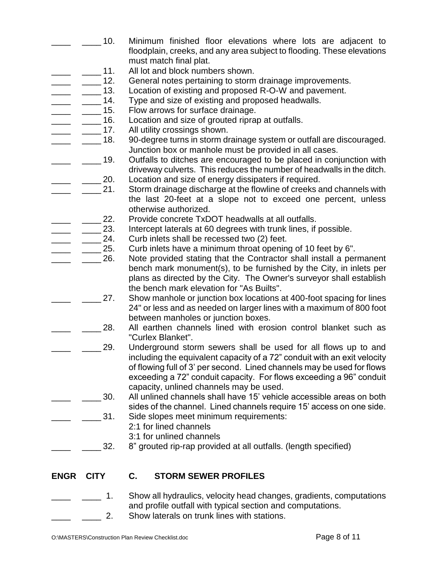- 10. Minimum finished floor elevations where lots are adjacent to floodplain, creeks, and any area subject to flooding. These elevations must match final plat.
- 11. All lot and block numbers shown.
- **\_\_\_\_ 12.** General notes pertaining to storm drainage improvements.
	- **\_\_\_\_ 13.** Location of existing and proposed R-O-W and pavement.
	- \_\_\_\_ \_\_\_\_ 14. Type and size of existing and proposed headwalls.
- 15. Flow arrows for surface drainage.
- **\_\_\_\_\_ 16.** Location and size of grouted riprap at outfalls.
- \_\_\_\_\_ 17. All utility crossings shown.
	- 18. 90-degree turns in storm drainage system or outfall are discouraged. Junction box or manhole must be provided in all cases.
	- 19. Outfalls to ditches are encouraged to be placed in conjunction with driveway culverts. This reduces the number of headwalls in the ditch. 20. Location and size of energy dissipaters if required.
		- 21. Storm drainage discharge at the flowline of creeks and channels with the last 20-feet at a slope not to exceed one percent, unless otherwise authorized.
- 22. Provide concrete TxDOT headwalls at all outfalls.
- 23. Intercept laterals at 60 degrees with trunk lines, if possible.
- 24. Curb inlets shall be recessed two (2) feet.
	- 25. Curb inlets have a minimum throat opening of 10 feet by 6".
		- 26. Note provided stating that the Contractor shall install a permanent bench mark monument(s), to be furnished by the City, in inlets per plans as directed by the City. The Owner's surveyor shall establish the bench mark elevation for "As Builts".
		- 27. Show manhole or junction box locations at 400-foot spacing for lines 24" or less and as needed on larger lines with a maximum of 800 foot between manholes or junction boxes.
		- 28. All earthen channels lined with erosion control blanket such as "Curlex Blanket".
		- 29. Underground storm sewers shall be used for all flows up to and including the equivalent capacity of a 72" conduit with an exit velocity of flowing full of 3' per second. Lined channels may be used for flows exceeding a 72" conduit capacity. For flows exceeding a 96" conduit capacity, unlined channels may be used.
	- \_\_\_\_ \_\_\_\_ 30. All unlined channels shall have 15' vehicle accessible areas on both sides of the channel. Lined channels require 15' access on one side.
		- 31. Side slopes meet minimum requirements:
			- 2:1 for lined channels
			- 3:1 for unlined channels
		- 32. 8" grouted rip-rap provided at all outfalls. (length specified)

## **ENGR CITY C. STORM SEWER PROFILES**

- \_\_\_\_ \_\_\_\_ 1. Show all hydraulics, velocity head changes, gradients, computations and profile outfall with typical section and computations.
	- 2. Show laterals on trunk lines with stations.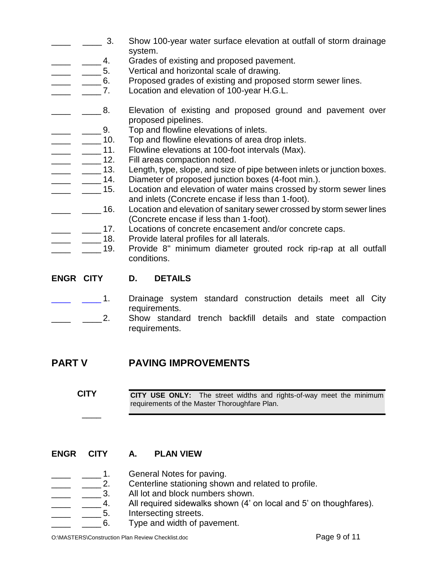- \_\_\_\_ \_\_\_\_ 3. Show 100-year water surface elevation at outfall of storm drainage system.
- **EXECUTE:** 2. Grades of existing and proposed pavement.
- **1200 1200 1200 1200 1200 1200 1200 1200 1200 1200 1200 1200 1200 1200 1200 1200 1200 1200 1200 1200 1200 1200 1200 1200 1200 1200 1200 1200 1200 1200 1200 1200**
- **\_\_\_\_** \_\_\_\_6. Proposed grades of existing and proposed storm sewer lines.
- **EXECUTE:** 2. Location and elevation of 100-year H.G.L.
	- 1. **Elevation of existing and proposed ground and pavement over** proposed pipelines.
- \_\_\_\_ \_\_\_\_\_9. Top and flowline elevations of inlets.
	-
- \_\_\_\_ \_\_\_\_ 10. Top and flowline elevations of area drop inlets.<br>\_\_\_\_ \_\_\_ 11. Flowline elevations at 100-foot intervals (Max).<br>\_\_\_\_\_ 12. Fill areas compaction noted. Flowline elevations at 100-foot intervals (Max).
- Fill areas compaction noted.
- **\_\_\_\_\_** \_\_\_\_\_ 13. Length, type, slope, and size of pipe between inlets or junction boxes.
- **\_\_\_\_** \_\_\_\_\_ 14. Diameter of proposed junction boxes (4-foot min.).
- **\_\_\_\_** \_\_\_\_\_ 15. Location and elevation of water mains crossed by storm sewer lines and inlets (Concrete encase if less than 1-foot).
- **\_\_\_\_** \_\_\_\_\_ 16. Location and elevation of sanitary sewer crossed by storm sewer lines (Concrete encase if less than 1-foot).
- **\_\_\_\_** \_\_\_\_ 17. Locations of concrete encasement and/or concrete caps.
- **\_\_\_\_** \_\_\_\_\_ 18. Provide lateral profiles for all laterals.
- <sub>\_\_\_</sub> \_\_\_\_ 19. Provide 8" minimum diameter grouted rock rip-rap at all outfall conditions.
- **ENGR CITY D. DETAILS**
	- 1. Drainage system standard construction details meet all City requirements.
	- <sub>\_\_\_</sub> \_\_\_\_\_\_\_2. Show standard trench backfill details and state compaction requirements.

## **PART V PAVING IMPROVEMENTS**

**CITY CITY USE ONLY:** The street widths and rights-of-way meet the minimum requirements of the Master Thoroughfare Plan.

#### **ENGR CITY A. PLAN VIEW**

 $\overline{\phantom{a}}$ 

- <sub>\_\_</sub> \_\_\_\_\_ 1. General Notes for paving.
- **\_\_\_\_** \_\_\_\_\_ 2. Centerline stationing shown and related to profile.
- **\_\_\_\_** \_\_\_\_\_\_ 3. All lot and block numbers shown.
- \_\_\_\_ \_\_\_\_ 4. All required sidewalks shown (4' on local and 5' on thoughfares).
- \_\_\_\_ \_\_\_\_ 5. Intersecting streets.
	- **EXECUTE:** 6. Type and width of pavement.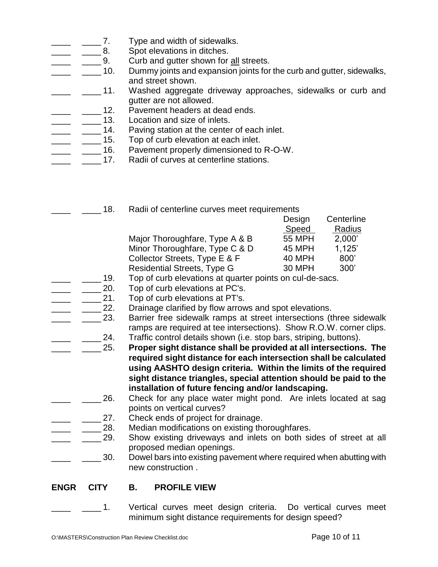- \_\_\_\_\_\_ 7. Type and width of sidewalks.
	- 8. Spot elevations in ditches.
		- 9. Curb and gutter shown for all streets.
		- \_\_\_\_ \_\_\_\_ 10. Dummy joints and expansion joints for the curb and gutter, sidewalks, and street shown.
		- \_\_\_\_ \_\_\_\_ 11. Washed aggregate driveway approaches, sidewalks or curb and gutter are not allowed.
		- 12. Pavement headers at dead ends.
- **\_\_\_\_** \_\_\_\_\_ 13. Location and size of inlets.
- \_\_\_\_ 14. Paving station at the center of each inlet.<br>\_\_\_\_ 15. Top of curb elevation at each inlet.
	- Top of curb elevation at each inlet.
	- <sub>\_</sub> \_\_\_\_ 16. Pavement properly dimensioned to R-O-W.
- **EXECUTE:** 2.17. Radii of curves at centerline stations.
	- **18.** Radii of centerline curves meet requirements

| Design        | Centerline |
|---------------|------------|
| Speed         | Radius     |
| <b>55 MPH</b> | 2,000'     |
| <b>45 MPH</b> | 1.125'     |
| 40 MPH        | 800'       |
| 30 MPH        | 300'       |
|               |            |

- **\_\_\_\_ 19.** Top of curb elevations at quarter points on cul-de-sacs.
- 20. Top of curb elevations at PC's.
- 21. Top of curb elevations at PT's.
	- 22. Drainage clarified by flow arrows and spot elevations.
- **\_\_\_\_ 23.** Barrier free sidewalk ramps at street intersections (three sidewalk ramps are required at tee intersections). Show R.O.W. corner clips. \_24. Traffic control details shown (i.e. stop bars, striping, buttons).
	- \_\_\_\_ \_\_\_\_ 25. **Proper sight distance shall be provided at all intersections. The required sight distance for each intersection shall be calculated using AASHTO design criteria. Within the limits of the required sight distance triangles, special attention should be paid to the installation of future fencing and/or landscaping.**
- 26. Check for any place water might pond. Are inlets located at sag points on vertical curves?
- 27. Check ends of project for drainage.
	- 28. Median modifications on existing thoroughfares.
- 29. Show existing driveways and inlets on both sides of street at all proposed median openings.
	- 30. Dowel bars into existing pavement where required when abutting with new construction .

#### **ENGR CITY B. PROFILE VIEW**

\_\_\_\_ \_\_\_\_ 1. Vertical curves meet design criteria. Do vertical curves meet minimum sight distance requirements for design speed?